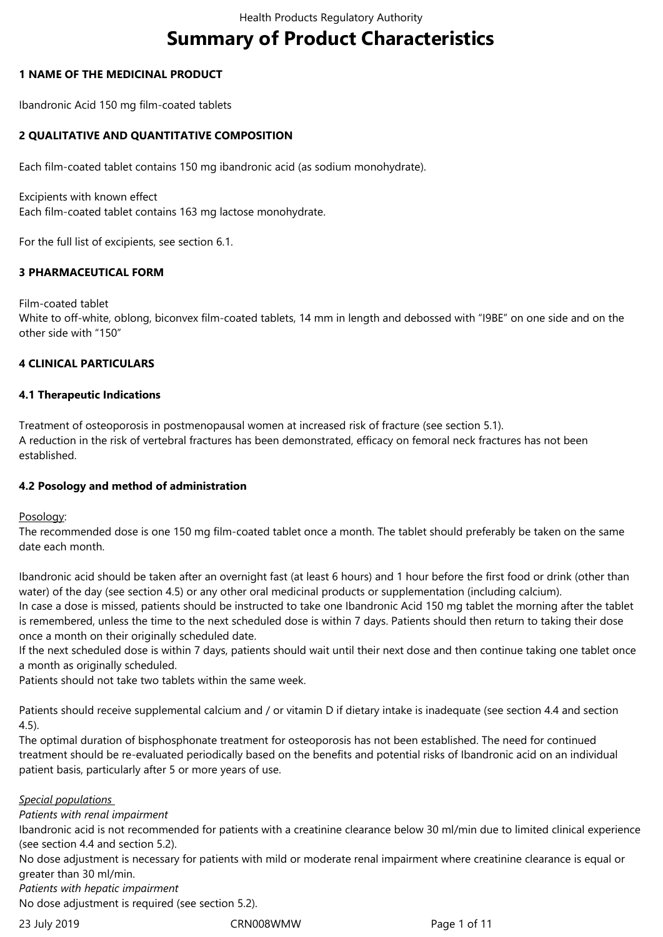# **Summary of Product Characteristics**

# **1 NAME OF THE MEDICINAL PRODUCT**

Ibandronic Acid 150 mg film-coated tablets

# **2 QUALITATIVE AND QUANTITATIVE COMPOSITION**

Each film-coated tablet contains 150 mg ibandronic acid (as sodium monohydrate).

Excipients with known effect Each film-coated tablet contains 163 mg lactose monohydrate.

For the full list of excipients, see section 6.1.

# **3 PHARMACEUTICAL FORM**

Film-coated tablet White to off-white, oblong, biconvex film-coated tablets, 14 mm in length and debossed with "I9BE" on one side and on the other side with "150"

# **4 CLINICAL PARTICULARS**

#### **4.1 Therapeutic Indications**

Treatment of osteoporosis in postmenopausal women at increased risk of fracture (see section 5.1). A reduction in the risk of vertebral fractures has been demonstrated, efficacy on femoral neck fractures has not been established.

#### **4.2 Posology and method of administration**

Posology:

The recommended dose is one 150 mg film-coated tablet once a month. The tablet should preferably be taken on the same date each month.

Ibandronic acid should be taken after an overnight fast (at least 6 hours) and 1 hour before the first food or drink (other than water) of the day (see section 4.5) or any other oral medicinal products or supplementation (including calcium).

In case a dose is missed, patients should be instructed to take one Ibandronic Acid 150 mg tablet the morning after the tablet is remembered, unless the time to the next scheduled dose is within 7 days. Patients should then return to taking their dose once a month on their originally scheduled date.

If the next scheduled dose is within 7 days, patients should wait until their next dose and then continue taking one tablet once a month as originally scheduled.

Patients should not take two tablets within the same week.

Patients should receive supplemental calcium and / or vitamin D if dietary intake is inadequate (see section 4.4 and section 4.5).

The optimal duration of bisphosphonate treatment for osteoporosis has not been established. The need for continued treatment should be re-evaluated periodically based on the benefits and potential risks of Ibandronic acid on an individual patient basis, particularly after 5 or more years of use.

#### *Special populations*

*Patients with renal impairment* 

Ibandronic acid is not recommended for patients with a creatinine clearance below 30 ml/min due to limited clinical experience (see section 4.4 and section 5.2).

No dose adjustment is necessary for patients with mild or moderate renal impairment where creatinine clearance is equal or greater than 30 ml/min.

*Patients with hepatic impairment* 

No dose adjustment is required (see section 5.2).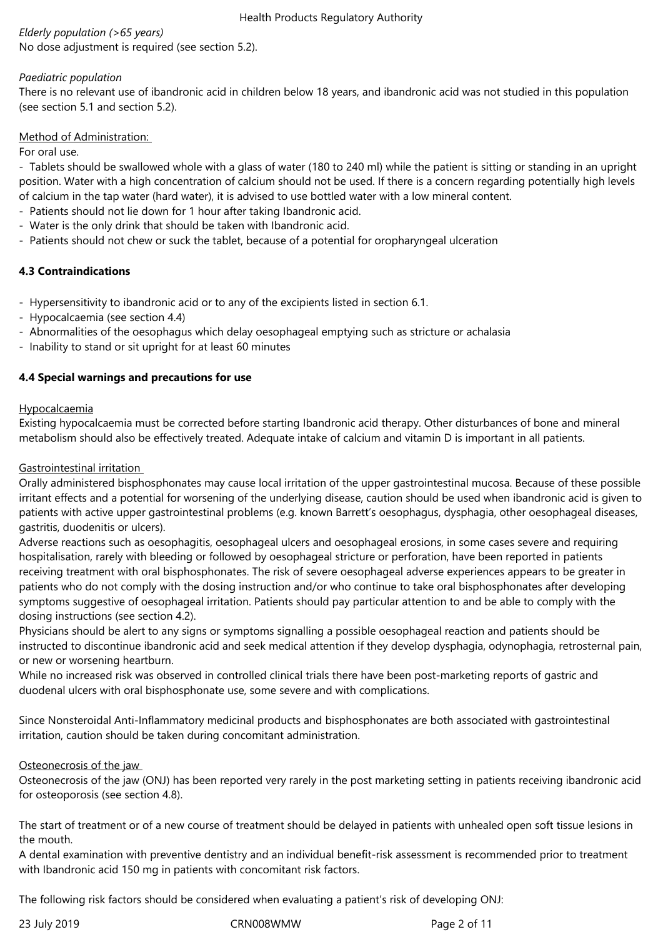# *Elderly population (>65 years)*

No dose adjustment is required (see section 5.2).

#### *Paediatric population*

There is no relevant use of ibandronic acid in children below 18 years, and ibandronic acid was not studied in this population (see section 5.1 and section 5.2).

#### Method of Administration:

For oral use.

- Tablets should be swallowed whole with a glass of water (180 to 240 ml) while the patient is sitting or standing in an upright position. Water with a high concentration of calcium should not be used. If there is a concern regarding potentially high levels of calcium in the tap water (hard water), it is advised to use bottled water with a low mineral content.

- Patients should not lie down for 1 hour after taking Ibandronic acid.
- Water is the only drink that should be taken with Ibandronic acid.
- Patients should not chew or suck the tablet, because of a potential for oropharyngeal ulceration

# **4.3 Contraindications**

- Hypersensitivity to ibandronic acid or to any of the excipients listed in section 6.1.
- Hypocalcaemia (see section 4.4)
- Abnormalities of the oesophagus which delay oesophageal emptying such as stricture or achalasia
- Inability to stand or sit upright for at least 60 minutes

# **4.4 Special warnings and precautions for use**

#### Hypocalcaemia

Existing hypocalcaemia must be corrected before starting Ibandronic acid therapy. Other disturbances of bone and mineral metabolism should also be effectively treated. Adequate intake of calcium and vitamin D is important in all patients.

#### Gastrointestinal irritation

Orally administered bisphosphonates may cause local irritation of the upper gastrointestinal mucosa. Because of these possible irritant effects and a potential for worsening of the underlying disease, caution should be used when ibandronic acid is given to patients with active upper gastrointestinal problems (e.g. known Barrett's oesophagus, dysphagia, other oesophageal diseases, gastritis, duodenitis or ulcers).

Adverse reactions such as oesophagitis, oesophageal ulcers and oesophageal erosions, in some cases severe and requiring hospitalisation, rarely with bleeding or followed by oesophageal stricture or perforation, have been reported in patients receiving treatment with oral bisphosphonates. The risk of severe oesophageal adverse experiences appears to be greater in patients who do not comply with the dosing instruction and/or who continue to take oral bisphosphonates after developing symptoms suggestive of oesophageal irritation. Patients should pay particular attention to and be able to comply with the dosing instructions (see section 4.2).

Physicians should be alert to any signs or symptoms signalling a possible oesophageal reaction and patients should be instructed to discontinue ibandronic acid and seek medical attention if they develop dysphagia, odynophagia, retrosternal pain, or new or worsening heartburn.

While no increased risk was observed in controlled clinical trials there have been post-marketing reports of gastric and duodenal ulcers with oral bisphosphonate use, some severe and with complications.

Since Nonsteroidal Anti-Inflammatory medicinal products and bisphosphonates are both associated with gastrointestinal irritation, caution should be taken during concomitant administration.

# Osteonecrosis of the jaw

Osteonecrosis of the jaw (ONJ) has been reported very rarely in the post marketing setting in patients receiving ibandronic acid for osteoporosis (see section 4.8).

The start of treatment or of a new course of treatment should be delayed in patients with unhealed open soft tissue lesions in the mouth.

A dental examination with preventive dentistry and an individual benefit-risk assessment is recommended prior to treatment with Ibandronic acid 150 mg in patients with concomitant risk factors.

The following risk factors should be considered when evaluating a patient's risk of developing ONJ:

23 July 2019 CRN008WMW Page 2 of 11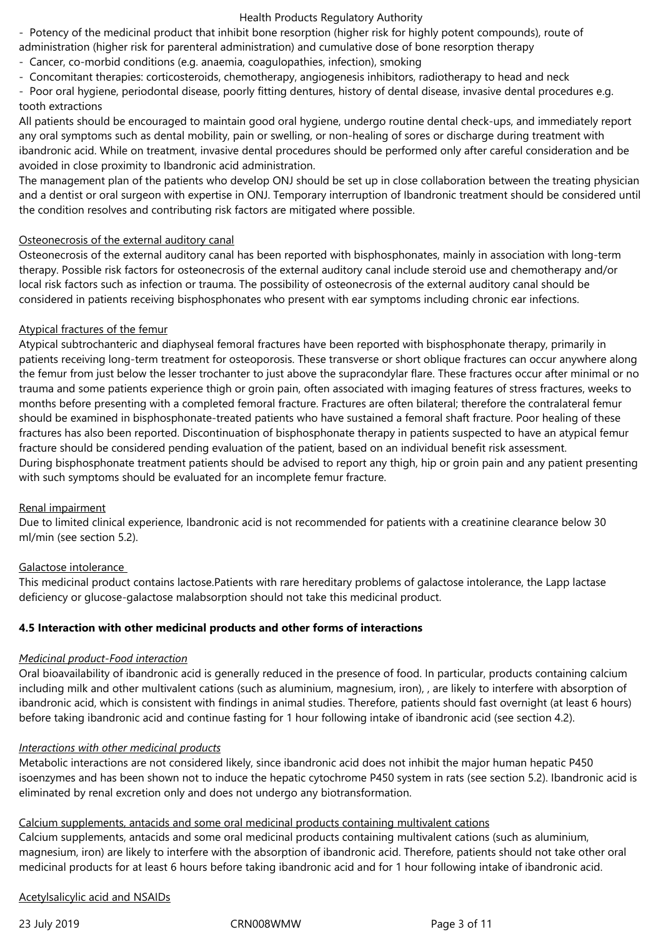- Potency of the medicinal product that inhibit bone resorption (higher risk for highly potent compounds), route of administration (higher risk for parenteral administration) and cumulative dose of bone resorption therapy

- Cancer, co-morbid conditions (e.g. anaemia, coagulopathies, infection), smoking
- Concomitant therapies: corticosteroids, chemotherapy, angiogenesis inhibitors, radiotherapy to head and neck

- Poor oral hygiene, periodontal disease, poorly fitting dentures, history of dental disease, invasive dental procedures e.g. tooth extractions

All patients should be encouraged to maintain good oral hygiene, undergo routine dental check-ups, and immediately report any oral symptoms such as dental mobility, pain or swelling, or non-healing of sores or discharge during treatment with ibandronic acid. While on treatment, invasive dental procedures should be performed only after careful consideration and be avoided in close proximity to Ibandronic acid administration.

The management plan of the patients who develop ONJ should be set up in close collaboration between the treating physician and a dentist or oral surgeon with expertise in ONJ. Temporary interruption of Ibandronic treatment should be considered until the condition resolves and contributing risk factors are mitigated where possible.

### Osteonecrosis of the external auditory canal

Osteonecrosis of the external auditory canal has been reported with bisphosphonates, mainly in association with long-term therapy. Possible risk factors for osteonecrosis of the external auditory canal include steroid use and chemotherapy and/or local risk factors such as infection or trauma. The possibility of osteonecrosis of the external auditory canal should be considered in patients receiving bisphosphonates who present with ear symptoms including chronic ear infections.

# Atypical fractures of the femur

Atypical subtrochanteric and diaphyseal femoral fractures have been reported with bisphosphonate therapy, primarily in patients receiving long-term treatment for osteoporosis. These transverse or short oblique fractures can occur anywhere along the femur from just below the lesser trochanter to just above the supracondylar flare. These fractures occur after minimal or no trauma and some patients experience thigh or groin pain, often associated with imaging features of stress fractures, weeks to months before presenting with a completed femoral fracture. Fractures are often bilateral; therefore the contralateral femur should be examined in bisphosphonate-treated patients who have sustained a femoral shaft fracture. Poor healing of these fractures has also been reported. Discontinuation of bisphosphonate therapy in patients suspected to have an atypical femur fracture should be considered pending evaluation of the patient, based on an individual benefit risk assessment. During bisphosphonate treatment patients should be advised to report any thigh, hip or groin pain and any patient presenting with such symptoms should be evaluated for an incomplete femur fracture.

# Renal impairment

Due to limited clinical experience, Ibandronic acid is not recommended for patients with a creatinine clearance below 30 ml/min (see section 5.2).

# Galactose intolerance

This medicinal product contains lactose.Patients with rare hereditary problems of galactose intolerance, the Lapp lactase deficiency or glucose-galactose malabsorption should not take this medicinal product.

# **4.5 Interaction with other medicinal products and other forms of interactions**

#### *Medicinal product-Food interaction*

Oral bioavailability of ibandronic acid is generally reduced in the presence of food. In particular, products containing calcium including milk and other multivalent cations (such as aluminium, magnesium, iron), , are likely to interfere with absorption of ibandronic acid, which is consistent with findings in animal studies. Therefore, patients should fast overnight (at least 6 hours) before taking ibandronic acid and continue fasting for 1 hour following intake of ibandronic acid (see section 4.2).

#### *Interactions with other medicinal products*

Metabolic interactions are not considered likely, since ibandronic acid does not inhibit the major human hepatic P450 isoenzymes and has been shown not to induce the hepatic cytochrome P450 system in rats (see section 5.2). Ibandronic acid is eliminated by renal excretion only and does not undergo any biotransformation.

# Calcium supplements, antacids and some oral medicinal products containing multivalent cations

Calcium supplements, antacids and some oral medicinal products containing multivalent cations (such as aluminium, magnesium, iron) are likely to interfere with the absorption of ibandronic acid. Therefore, patients should not take other oral medicinal products for at least 6 hours before taking ibandronic acid and for 1 hour following intake of ibandronic acid.

# Acetylsalicylic acid and NSAIDs

23 July 2019 CRN008WMW Page 3 of 11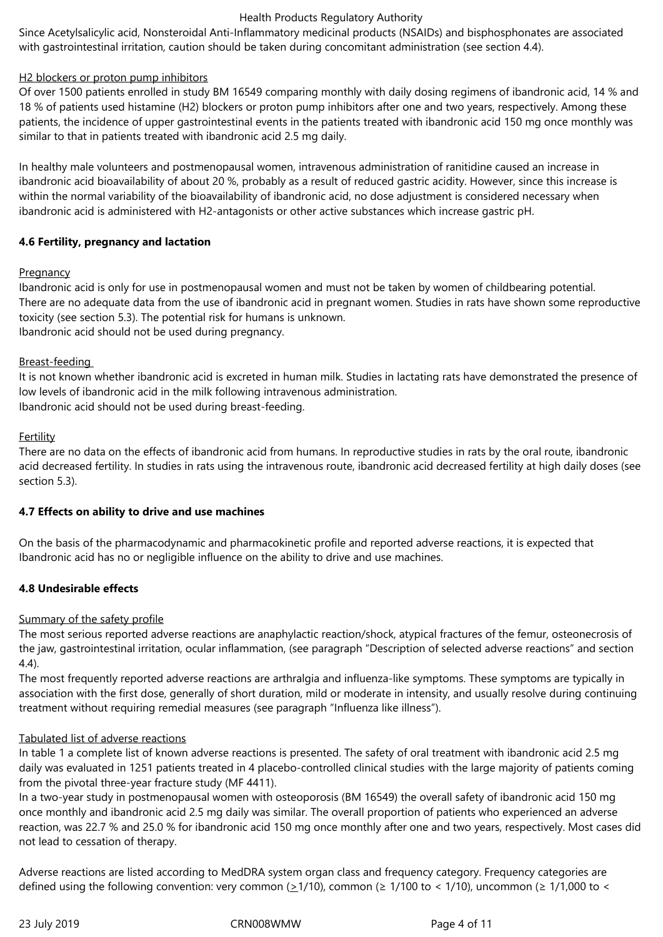Since Acetylsalicylic acid, Nonsteroidal Anti-Inflammatory medicinal products (NSAIDs) and bisphosphonates are associated with gastrointestinal irritation, caution should be taken during concomitant administration (see section 4.4).

# H2 blockers or proton pump inhibitors

Of over 1500 patients enrolled in study BM 16549 comparing monthly with daily dosing regimens of ibandronic acid, 14 % and 18 % of patients used histamine (H2) blockers or proton pump inhibitors after one and two years, respectively. Among these patients, the incidence of upper gastrointestinal events in the patients treated with ibandronic acid 150 mg once monthly was similar to that in patients treated with ibandronic acid 2.5 mg daily.

In healthy male volunteers and postmenopausal women, intravenous administration of ranitidine caused an increase in ibandronic acid bioavailability of about 20 %, probably as a result of reduced qastric acidity. However, since this increase is within the normal variability of the bioavailability of ibandronic acid, no dose adjustment is considered necessary when ibandronic acid is administered with H2-antagonists or other active substances which increase gastric pH.

# **4.6 Fertility, pregnancy and lactation**

# **Pregnancy**

Ibandronic acid is only for use in postmenopausal women and must not be taken by women of childbearing potential. There are no adequate data from the use of ibandronic acid in pregnant women. Studies in rats have shown some reproductive toxicity (see section 5.3). The potential risk for humans is unknown. Ibandronic acid should not be used during pregnancy.

# Breast-feeding

It is not known whether ibandronic acid is excreted in human milk. Studies in lactating rats have demonstrated the presence of low levels of ibandronic acid in the milk following intravenous administration. Ibandronic acid should not be used during breast-feeding.

# Fertility

There are no data on the effects of ibandronic acid from humans. In reproductive studies in rats by the oral route, ibandronic acid decreased fertility. In studies in rats using the intravenous route, ibandronic acid decreased fertility at high daily doses (see section 5.3).

# **4.7 Effects on ability to drive and use machines**

On the basis of the pharmacodynamic and pharmacokinetic profile and reported adverse reactions, it is expected that Ibandronic acid has no or negligible influence on the ability to drive and use machines.

# **4.8 Undesirable effects**

# Summary of the safety profile

The most serious reported adverse reactions are anaphylactic reaction/shock, atypical fractures of the femur, osteonecrosis of the jaw, gastrointestinal irritation, ocular inflammation, (see paragraph "Description of selected adverse reactions" and section 4.4).

The most frequently reported adverse reactions are arthralgia and influenza-like symptoms. These symptoms are typically in association with the first dose, generally of short duration, mild or moderate in intensity, and usually resolve during continuing treatment without requiring remedial measures (see paragraph "Influenza like illness").

# Tabulated list of adverse reactions

In table 1 a complete list of known adverse reactions is presented. The safety of oral treatment with ibandronic acid 2.5 mg daily was evaluated in 1251 patients treated in 4 placebo-controlled clinical studies with the large majority of patients coming from the pivotal three-year fracture study (MF 4411).

In a two-year study in postmenopausal women with osteoporosis (BM 16549) the overall safety of ibandronic acid 150 mg once monthly and ibandronic acid 2.5 mg daily was similar. The overall proportion of patients who experienced an adverse reaction, was 22.7 % and 25.0 % for ibandronic acid 150 mg once monthly after one and two years, respectively. Most cases did not lead to cessation of therapy.

Adverse reactions are listed according to MedDRA system organ class and frequency category. Frequency categories are defined using the following convention: very common ( $\geq$ 1/10), common ( $\geq$  1/100 to < 1/10), uncommon ( $\geq$  1/1,000 to <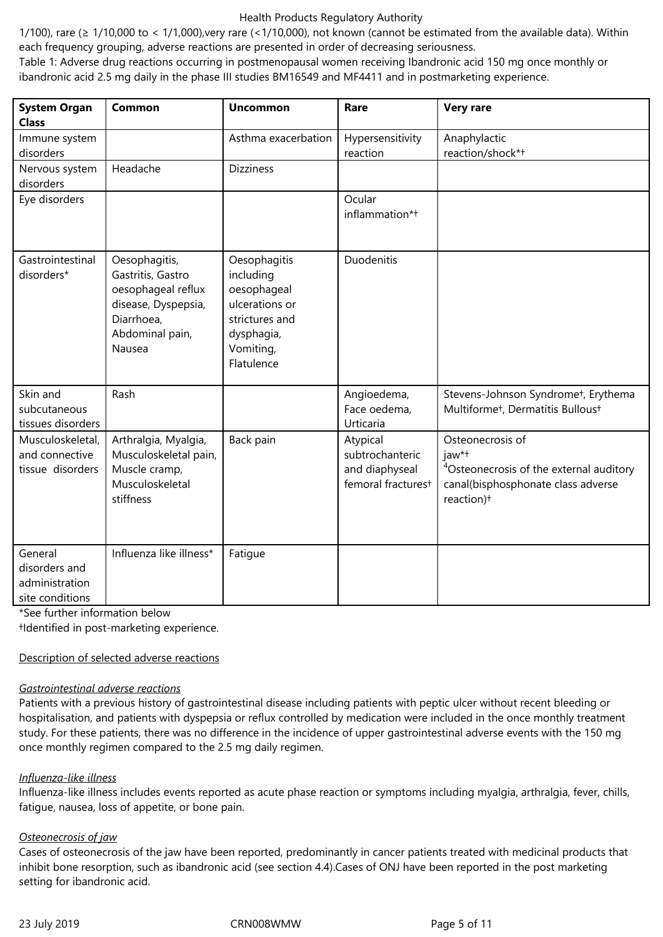1/100), rare ( $\geq 1/10,000$  to < 1/1,000), very rare (<1/10,000), not known (cannot be estimated from the available data). Within each frequency grouping, adverse reactions are presented in order of decreasing seriousness.

Table 1: Adverse drug reactions occurring in postmenopausal women receiving Ibandronic acid 150 mg once monthly or ibandronic acid 2.5 mg daily in the phase III studies BM16549 and MF4411 and in postmarketing experience.

| <b>System Organ</b><br><b>Class</b>                           | Common                                                                                                                     | <b>Uncommon</b>                                                                                                       | Rare                                                                            | <b>Very rare</b>                                                                                                                                 |
|---------------------------------------------------------------|----------------------------------------------------------------------------------------------------------------------------|-----------------------------------------------------------------------------------------------------------------------|---------------------------------------------------------------------------------|--------------------------------------------------------------------------------------------------------------------------------------------------|
| Immune system<br>disorders                                    |                                                                                                                            | Asthma exacerbation                                                                                                   | Hypersensitivity<br>reaction                                                    | Anaphylactic<br>reaction/shock*+                                                                                                                 |
| Nervous system<br>disorders                                   | Headache                                                                                                                   | <b>Dizziness</b>                                                                                                      |                                                                                 |                                                                                                                                                  |
| Eye disorders                                                 |                                                                                                                            |                                                                                                                       | Ocular<br>inflammation*+                                                        |                                                                                                                                                  |
| Gastrointestinal<br>disorders*                                | Oesophagitis,<br>Gastritis, Gastro<br>oesophageal reflux<br>disease, Dyspepsia,<br>Diarrhoea,<br>Abdominal pain,<br>Nausea | Oesophagitis<br>including<br>oesophageal<br>ulcerations or<br>strictures and<br>dysphagia,<br>Vomiting,<br>Flatulence | Duodenitis                                                                      |                                                                                                                                                  |
| Skin and<br>subcutaneous<br>tissues disorders                 | Rash                                                                                                                       |                                                                                                                       | Angioedema,<br>Face oedema,<br>Urticaria                                        | Stevens-Johnson Syndromet, Erythema<br>Multiforme <sup>+</sup> , Dermatitis Bullous <sup>+</sup>                                                 |
| Musculoskeletal,<br>and connective<br>tissue disorders        | Arthralgia, Myalgia,<br>Musculoskeletal pain,<br>Muscle cramp,<br>Musculoskeletal<br>stiffness                             | Back pain                                                                                                             | Atypical<br>subtrochanteric<br>and diaphyseal<br>femoral fractures <sup>+</sup> | Osteonecrosis of<br>jaw*t<br><sup>4</sup> Osteonecrosis of the external auditory<br>canal(bisphosphonate class adverse<br>reaction) <sup>+</sup> |
| General<br>disorders and<br>administration<br>site conditions | Influenza like illness*                                                                                                    | Fatigue                                                                                                               |                                                                                 |                                                                                                                                                  |

\*See further information below

†Identified in post-marketing experience.

#### Description of selected adverse reactions

#### *Gastrointestinal adverse reactions*

Patients with a previous history of gastrointestinal disease including patients with peptic ulcer without recent bleeding or hospitalisation, and patients with dyspepsia or reflux controlled by medication were included in the once monthly treatment study. For these patients, there was no difference in the incidence of upper gastrointestinal adverse events with the 150 mg once monthly regimen compared to the 2.5 mg daily regimen.

#### *Influenza-like illness*

Influenza-like illness includes events reported as acute phase reaction or symptoms including myalgia, arthralgia, fever, chills, fatigue, nausea, loss of appetite, or bone pain.

# *Osteonecrosis of jaw*

Cases of osteonecrosis of the jaw have been reported, predominantly in cancer patients treated with medicinal products that inhibit bone resorption, such as ibandronic acid (see section 4.4).Cases of ONJ have been reported in the post marketing setting for ibandronic acid.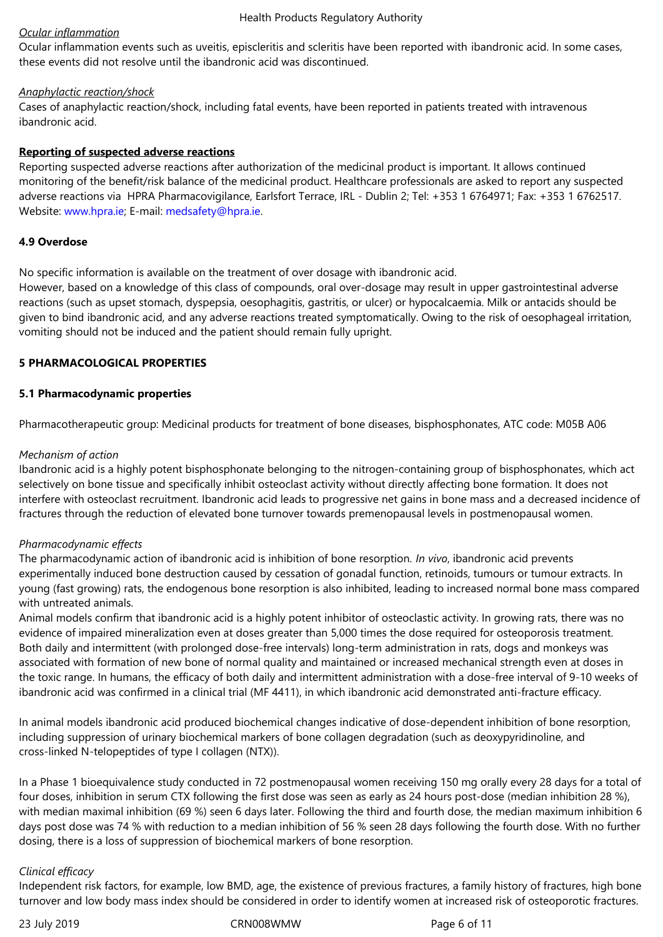# *Ocular inflammation*

Ocular inflammation events such as uveitis, episcleritis and scleritis have been reported with ibandronic acid. In some cases, these events did not resolve until the ibandronic acid was discontinued.

# *Anaphylactic reaction/shock*

Cases of anaphylactic reaction/shock, including fatal events, have been reported in patients treated with intravenous ibandronic acid.

# **Reporting of suspected adverse reactions**

Reporting suspected adverse reactions after authorization of the medicinal product is important. It allows continued monitoring of the benefit/risk balance of the medicinal product. Healthcare professionals are asked to report any suspected adverse reactions via HPRA Pharmacovigilance, Earlsfort Terrace, IRL - Dublin 2; Tel: +353 1 6764971; Fax: +353 1 6762517. Website: www.hpra.ie; E-mail: medsafety@hpra.ie.

# **4.9 Overdose**

No specific information is available on the treatment of over dosage with ibandronic acid.

However, based on a knowledge of this class of compounds, oral over-dosage may result in upper gastrointestinal adverse reactions (such as upset stomach, dyspepsia, oesophagitis, gastritis, or ulcer) or hypocalcaemia. Milk or antacids should be given to bind ibandronic acid, and any adverse reactions treated symptomatically. Owing to the risk of oesophageal irritation, vomiting should not be induced and the patient should remain fully upright.

# **5 PHARMACOLOGICAL PROPERTIES**

# **5.1 Pharmacodynamic properties**

Pharmacotherapeutic group: Medicinal products for treatment of bone diseases, bisphosphonates, ATC code: M05B A06

# *Mechanism of action*

Ibandronic acid is a highly potent bisphosphonate belonging to the nitrogen-containing group of bisphosphonates, which act selectively on bone tissue and specifically inhibit osteoclast activity without directly affecting bone formation. It does not interfere with osteoclast recruitment. Ibandronic acid leads to progressive net gains in bone mass and a decreased incidence of fractures through the reduction of elevated bone turnover towards premenopausal levels in postmenopausal women.

# *Pharmacodynamic effects*

The pharmacodynamic action of ibandronic acid is inhibition of bone resorption. *In vivo*, ibandronic acid prevents experimentally induced bone destruction caused by cessation of gonadal function, retinoids, tumours or tumour extracts. In young (fast growing) rats, the endogenous bone resorption is also inhibited, leading to increased normal bone mass compared with untreated animals.

Animal models confirm that ibandronic acid is a highly potent inhibitor of osteoclastic activity. In growing rats, there was no evidence of impaired mineralization even at doses greater than 5,000 times the dose required for osteoporosis treatment. Both daily and intermittent (with prolonged dose-free intervals) long-term administration in rats, dogs and monkeys was associated with formation of new bone of normal quality and maintained or increased mechanical strength even at doses in the toxic range. In humans, the efficacy of both daily and intermittent administration with a dose-free interval of 9-10 weeks of ibandronic acid was confirmed in a clinical trial (MF 4411), in which ibandronic acid demonstrated anti-fracture efficacy.

In animal models ibandronic acid produced biochemical changes indicative of dose-dependent inhibition of bone resorption, including suppression of urinary biochemical markers of bone collagen degradation (such as deoxypyridinoline, and cross-linked N-telopeptides of type I collagen (NTX)).

In a Phase 1 bioequivalence study conducted in 72 postmenopausal women receiving 150 mg orally every 28 days for a total of four doses, inhibition in serum CTX following the first dose was seen as early as 24 hours post-dose (median inhibition 28 %), with median maximal inhibition (69 %) seen 6 days later. Following the third and fourth dose, the median maximum inhibition 6 days post dose was 74 % with reduction to a median inhibition of 56 % seen 28 days following the fourth dose. With no further dosing, there is a loss of suppression of biochemical markers of bone resorption.

# *Clinical efficacy*

Independent risk factors, for example, low BMD, age, the existence of previous fractures, a family history of fractures, high bone turnover and low body mass index should be considered in order to identify women at increased risk of osteoporotic fractures.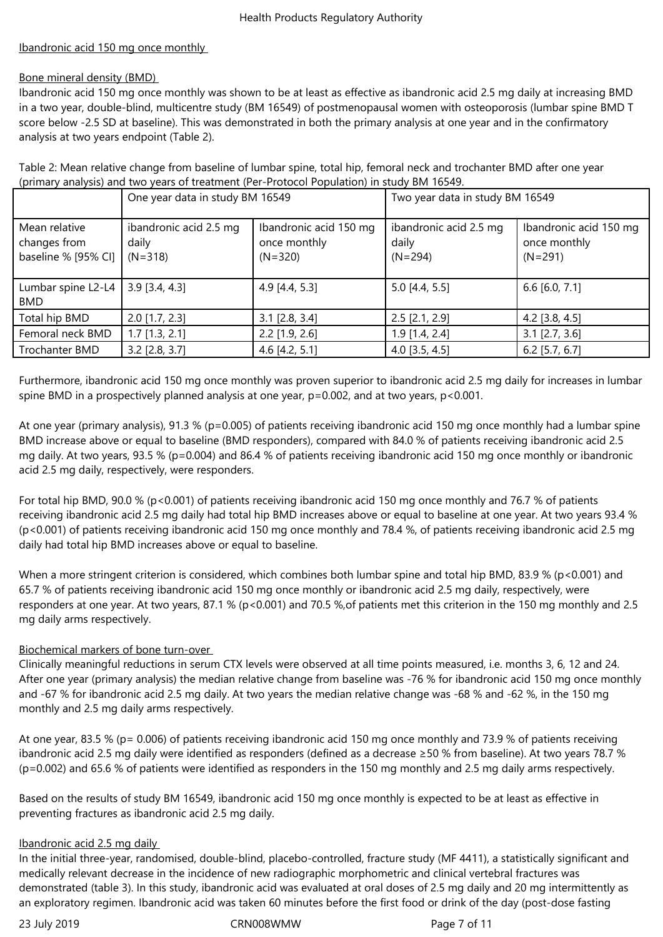# Ibandronic acid 150 mg once monthly

# Bone mineral density (BMD)

Ibandronic acid 150 mg once monthly was shown to be at least as effective as ibandronic acid 2.5 mg daily at increasing BMD in a two year, double-blind, multicentre study (BM 16549) of postmenopausal women with osteoporosis (lumbar spine BMD T score below -2.5 SD at baseline). This was demonstrated in both the primary analysis at one year and in the confirmatory analysis at two years endpoint (Table 2).

Table 2: Mean relative change from baseline of lumbar spine, total hip, femoral neck and trochanter BMD after one year (primary analysis) and two years of treatment (Per-Protocol Population) in study BM 16549.

|                                                      | One year data in study BM 16549              |                                                     | Two year data in study BM 16549              |                                                     |
|------------------------------------------------------|----------------------------------------------|-----------------------------------------------------|----------------------------------------------|-----------------------------------------------------|
| Mean relative<br>changes from<br>baseline % [95% CI] | ibandronic acid 2.5 mg<br>daily<br>$(N=318)$ | Ibandronic acid 150 mg<br>once monthly<br>$(N=320)$ | ibandronic acid 2.5 mg<br>daily<br>$(N=294)$ | Ibandronic acid 150 mg<br>once monthly<br>$(N=291)$ |
| Lumbar spine L2-L4<br><b>BMD</b>                     | $3.9$ [3.4, 4.3]                             | 4.9 [4.4, 5.3]                                      | $5.0$ [4.4, 5.5]                             | $6.6$ [6.0, 7.1]                                    |
| Total hip BMD                                        | $2.0$ [1.7, 2.3]                             | $3.1$ [2.8, 3.4]                                    | $2.5$ [2.1, 2.9]                             | 4.2 [3.8, 4.5]                                      |
| Femoral neck BMD                                     | $1.7$ [1.3, 2.1]                             | $2.2$ [1.9, 2.6]                                    | $1.9$ [1.4, 2.4]                             | $3.1$ [2.7, 3.6]                                    |
| Trochanter BMD                                       | $3.2$ [2.8, 3.7]                             | 4.6 $[4.2, 5.1]$                                    | $4.0$ [3.5, 4.5]                             | $6.2$ [5.7, 6.7]                                    |

Furthermore, ibandronic acid 150 mg once monthly was proven superior to ibandronic acid 2.5 mg daily for increases in lumbar spine BMD in a prospectively planned analysis at one year, p=0.002, and at two years, p<0.001.

At one year (primary analysis), 91.3 % (p=0.005) of patients receiving ibandronic acid 150 mg once monthly had a lumbar spine BMD increase above or equal to baseline (BMD responders), compared with 84.0 % of patients receiving ibandronic acid 2.5 mg daily. At two years, 93.5 % (p=0.004) and 86.4 % of patients receiving ibandronic acid 150 mg once monthly or ibandronic acid 2.5 mg daily, respectively, were responders.

For total hip BMD, 90.0 % (p<0.001) of patients receiving ibandronic acid 150 mg once monthly and 76.7 % of patients receiving ibandronic acid 2.5 mg daily had total hip BMD increases above or equal to baseline at one year. At two years 93.4 % (p<0.001) of patients receiving ibandronic acid 150 mg once monthly and 78.4 %, of patients receiving ibandronic acid 2.5 mg daily had total hip BMD increases above or equal to baseline.

When a more stringent criterion is considered, which combines both lumbar spine and total hip BMD, 83.9 % (p<0.001) and 65.7 % of patients receiving ibandronic acid 150 mg once monthly or ibandronic acid 2.5 mg daily, respectively, were responders at one year. At two years, 87.1 % (p<0.001) and 70.5 %,of patients met this criterion in the 150 mg monthly and 2.5 mg daily arms respectively.

# Biochemical markers of bone turn-over

Clinically meaningful reductions in serum CTX levels were observed at all time points measured, i.e. months 3, 6, 12 and 24. After one year (primary analysis) the median relative change from baseline was -76 % for ibandronic acid 150 mg once monthly and -67 % for ibandronic acid 2.5 mg daily. At two years the median relative change was -68 % and -62 %, in the 150 mg monthly and 2.5 mg daily arms respectively.

At one year, 83.5 % (p= 0.006) of patients receiving ibandronic acid 150 mg once monthly and 73.9 % of patients receiving ibandronic acid 2.5 mg daily were identified as responders (defined as a decrease ≥50 % from baseline). At two years 78.7 % (p=0.002) and 65.6 % of patients were identified as responders in the 150 mg monthly and 2.5 mg daily arms respectively.

Based on the results of study BM 16549, ibandronic acid 150 mg once monthly is expected to be at least as effective in preventing fractures as ibandronic acid 2.5 mg daily.

# Ibandronic acid 2.5 mg daily

In the initial three-year, randomised, double-blind, placebo-controlled, fracture study (MF 4411), a statistically significant and medically relevant decrease in the incidence of new radiographic morphometric and clinical vertebral fractures was demonstrated (table 3). In this study, ibandronic acid was evaluated at oral doses of 2.5 mg daily and 20 mg intermittently as an exploratory regimen. Ibandronic acid was taken 60 minutes before the first food or drink of the day (post-dose fasting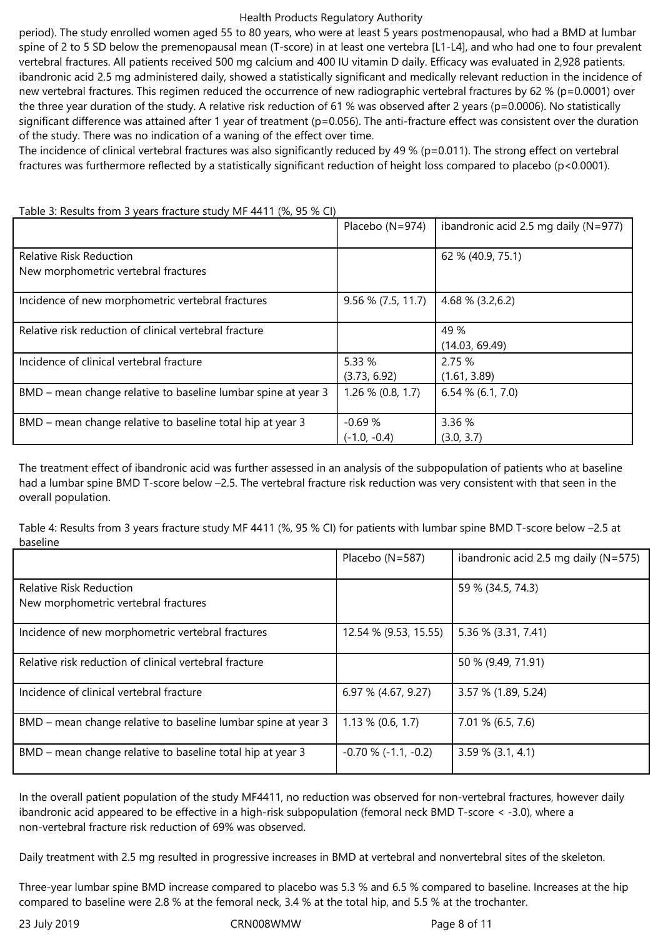period). The study enrolled women aged 55 to 80 years, who were at least 5 years postmenopausal, who had a BMD at lumbar spine of 2 to 5 SD below the premenopausal mean (T-score) in at least one vertebra [L1-L4], and who had one to four prevalent vertebral fractures. All patients received 500 mg calcium and 400 IU vitamin D daily. Efficacy was evaluated in 2,928 patients. ibandronic acid 2.5 mg administered daily, showed a statistically significant and medically relevant reduction in the incidence of new vertebral fractures. This regimen reduced the occurrence of new radiographic vertebral fractures by 62 % (p=0.0001) over the three year duration of the study. A relative risk reduction of 61 % was observed after 2 years (p=0.0006). No statistically significant difference was attained after 1 year of treatment (p=0.056). The anti-fracture effect was consistent over the duration of the study. There was no indication of a waning of the effect over time*.* 

The incidence of clinical vertebral fractures was also significantly reduced by 49 % (p=0.011). The strong effect on vertebral fractures was furthermore reflected by a statistically significant reduction of height loss compared to placebo (p<0.0001).

|                                                               | Placebo (N=974)      | ibandronic acid 2.5 mg daily ( $N=977$ ) |
|---------------------------------------------------------------|----------------------|------------------------------------------|
| <b>Relative Risk Reduction</b>                                |                      | 62 % (40.9, 75.1)                        |
| New morphometric vertebral fractures                          |                      |                                          |
| Incidence of new morphometric vertebral fractures             | $9.56\%$ (7.5, 11.7) | 4.68 $% (3.2,6.2)$                       |
| Relative risk reduction of clinical vertebral fracture        |                      | 49 %                                     |
|                                                               |                      | (14.03, 69.49)                           |
| Incidence of clinical vertebral fracture                      | 5.33 %               | 2.75 %                                   |
|                                                               | (3.73, 6.92)         | (1.61, 3.89)                             |
| BMD – mean change relative to baseline lumbar spine at year 3 | $1.26\% (0.8, 1.7)$  | $6.54\%$ (6.1, 7.0)                      |
|                                                               |                      |                                          |
| BMD – mean change relative to baseline total hip at year 3    | $-0.69%$             | 3.36 %                                   |
|                                                               | $(-1.0, -0.4)$       | (3.0, 3.7)                               |

Table 3: Results from 3 years fracture study MF 4411 (%, 95 % CI)

The treatment effect of ibandronic acid was further assessed in an analysis of the subpopulation of patients who at baseline had a lumbar spine BMD T-score below -2.5. The vertebral fracture risk reduction was very consistent with that seen in the overall population.

Table 4: Results from 3 years fracture study MF 4411 (%, 95 % CI) for patients with lumbar spine BMD T-score below –2.5 at baseline

|                                                                        | Placebo (N=587)            | ibandronic acid 2.5 mg daily $(N=575)$ |
|------------------------------------------------------------------------|----------------------------|----------------------------------------|
| <b>Relative Risk Reduction</b><br>New morphometric vertebral fractures |                            | 59 % (34.5, 74.3)                      |
| Incidence of new morphometric vertebral fractures                      | 12.54 % (9.53, 15.55)      | 5.36 % (3.31, 7.41)                    |
| Relative risk reduction of clinical vertebral fracture                 |                            | 50 % (9.49, 71.91)                     |
| Incidence of clinical vertebral fracture                               | 6.97 % (4.67, 9.27)        | 3.57 % (1.89, 5.24)                    |
| BMD – mean change relative to baseline lumbar spine at year 3          | $1.13\%$ (0.6, 1.7)        | 7.01 % (6.5, 7.6)                      |
| BMD – mean change relative to baseline total hip at year 3             | $-0.70$ % ( $-1.1, -0.2$ ) | $3.59\%$ (3.1, 4.1)                    |

In the overall patient population of the study MF4411, no reduction was observed for non-vertebral fractures, however daily ibandronic acid appeared to be effective in a high-risk subpopulation (femoral neck BMD T-score < -3.0), where a non-vertebral fracture risk reduction of 69% was observed.

Daily treatment with 2.5 mg resulted in progressive increases in BMD at vertebral and nonvertebral sites of the skeleton.

Three-year lumbar spine BMD increase compared to placebo was 5.3 % and 6.5 % compared to baseline. Increases at the hip compared to baseline were 2.8 % at the femoral neck, 3.4 % at the total hip, and 5.5 % at the trochanter.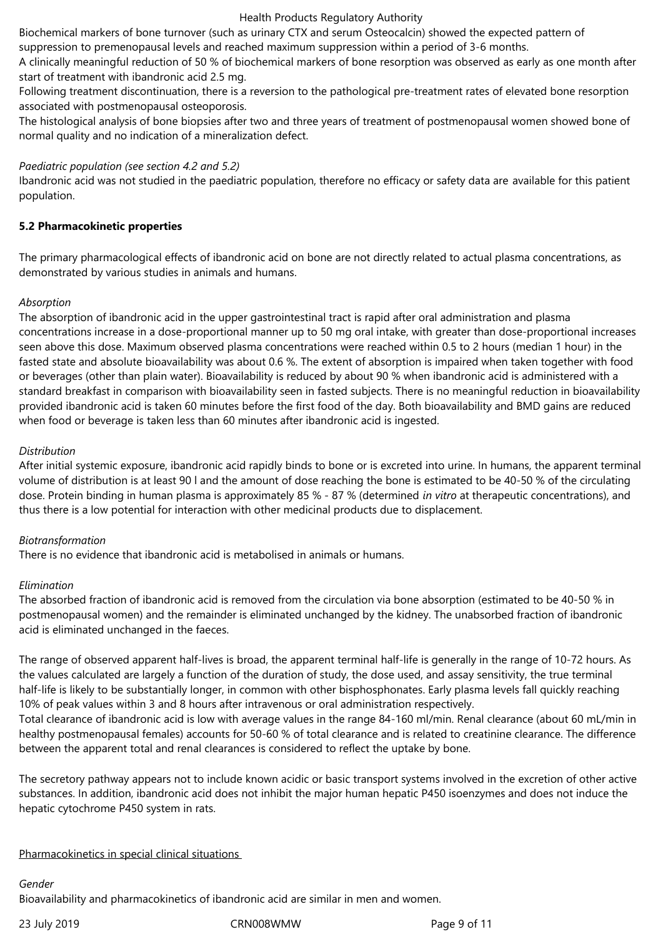Biochemical markers of bone turnover (such as urinary CTX and serum Osteocalcin) showed the expected pattern of suppression to premenopausal levels and reached maximum suppression within a period of 3-6 months.

A clinically meaningful reduction of 50 % of biochemical markers of bone resorption was observed as early as one month after start of treatment with ibandronic acid 2.5 mg.

Following treatment discontinuation, there is a reversion to the pathological pre-treatment rates of elevated bone resorption associated with postmenopausal osteoporosis.

The histological analysis of bone biopsies after two and three years of treatment of postmenopausal women showed bone of normal quality and no indication of a mineralization defect.

# *Paediatric population (see section 4.2 and 5.2)*

Ibandronic acid was not studied in the paediatric population, therefore no efficacy or safety data are available for this patient population.

# **5.2 Pharmacokinetic properties**

The primary pharmacological effects of ibandronic acid on bone are not directly related to actual plasma concentrations, as demonstrated by various studies in animals and humans.

# *Absorption*

The absorption of ibandronic acid in the upper gastrointestinal tract is rapid after oral administration and plasma concentrations increase in a dose-proportional manner up to 50 mg oral intake, with greater than dose-proportional increases seen above this dose. Maximum observed plasma concentrations were reached within 0.5 to 2 hours (median 1 hour) in the fasted state and absolute bioavailability was about 0.6 %. The extent of absorption is impaired when taken together with food or beverages (other than plain water). Bioavailability is reduced by about 90 % when ibandronic acid is administered with a standard breakfast in comparison with bioavailability seen in fasted subjects. There is no meaningful reduction in bioavailability provided ibandronic acid is taken 60 minutes before the first food of the day. Both bioavailability and BMD gains are reduced when food or beverage is taken less than 60 minutes after ibandronic acid is ingested.

# *Distribution*

After initial systemic exposure, ibandronic acid rapidly binds to bone or is excreted into urine. In humans, the apparent terminal volume of distribution is at least 90 l and the amount of dose reaching the bone is estimated to be 40-50 % of the circulating dose. Protein binding in human plasma is approximately 85 % - 87 % (determined *in vitro* at therapeutic concentrations), and thus there is a low potential for interaction with other medicinal products due to displacement.

#### *Biotransformation*

There is no evidence that ibandronic acid is metabolised in animals or humans.

#### *Elimination*

The absorbed fraction of ibandronic acid is removed from the circulation via bone absorption (estimated to be 40-50 % in postmenopausal women) and the remainder is eliminated unchanged by the kidney. The unabsorbed fraction of ibandronic acid is eliminated unchanged in the faeces.

The range of observed apparent half-lives is broad, the apparent terminal half-life is generally in the range of 10-72 hours. As the values calculated are largely a function of the duration of study, the dose used, and assay sensitivity, the true terminal half-life is likely to be substantially longer, in common with other bisphosphonates. Early plasma levels fall quickly reaching 10% of peak values within 3 and 8 hours after intravenous or oral administration respectively.

Total clearance of ibandronic acid is low with average values in the range 84-160 ml/min. Renal clearance (about 60 mL/min in healthy postmenopausal females) accounts for 50-60 % of total clearance and is related to creatinine clearance. The difference between the apparent total and renal clearances is considered to reflect the uptake by bone.

The secretory pathway appears not to include known acidic or basic transport systems involved in the excretion of other active substances. In addition, ibandronic acid does not inhibit the major human hepatic P450 isoenzymes and does not induce the hepatic cytochrome P450 system in rats.

#### Pharmacokinetics in special clinical situations

#### *Gender*

Bioavailability and pharmacokinetics of ibandronic acid are similar in men and women.

#### 23 July 2019 CRN008WMW Page 9 of 11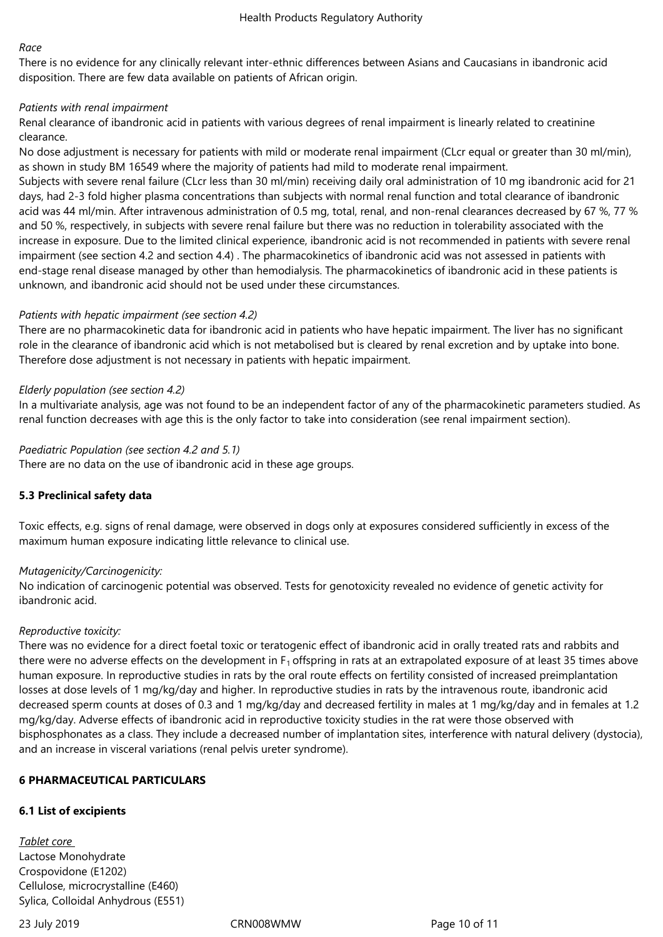#### *Race*

There is no evidence for any clinically relevant inter-ethnic differences between Asians and Caucasians in ibandronic acid disposition. There are few data available on patients of African origin.

# *Patients with renal impairment*

Renal clearance of ibandronic acid in patients with various degrees of renal impairment is linearly related to creatinine clearance.

No dose adjustment is necessary for patients with mild or moderate renal impairment (CLcr equal or greater than 30 ml/min), as shown in study BM 16549 where the majority of patients had mild to moderate renal impairment.

Subjects with severe renal failure (CLcr less than 30 ml/min) receiving daily oral administration of 10 mg ibandronic acid for 21 days, had 2-3 fold higher plasma concentrations than subjects with normal renal function and total clearance of ibandronic acid was 44 ml/min. After intravenous administration of 0.5 mg, total, renal, and non-renal clearances decreased by 67 %, 77 % and 50 %, respectively, in subjects with severe renal failure but there was no reduction in tolerability associated with the increase in exposure. Due to the limited clinical experience, ibandronic acid is not recommended in patients with severe renal impairment (see section 4.2 and section 4.4) . The pharmacokinetics of ibandronic acid was not assessed in patients with end-stage renal disease managed by other than hemodialysis. The pharmacokinetics of ibandronic acid in these patients is unknown, and ibandronic acid should not be used under these circumstances.

# *Patients with hepatic impairment (see section 4.2)*

There are no pharmacokinetic data for ibandronic acid in patients who have hepatic impairment. The liver has no significant role in the clearance of ibandronic acid which is not metabolised but is cleared by renal excretion and by uptake into bone. Therefore dose adjustment is not necessary in patients with hepatic impairment.

# *Elderly population (see section 4.2)*

In a multivariate analysis, age was not found to be an independent factor of any of the pharmacokinetic parameters studied. As renal function decreases with age this is the only factor to take into consideration (see renal impairment section).

# *Paediatric Population (see section 4.2 and 5.1)*

There are no data on the use of ibandronic acid in these age groups.

# **5.3 Preclinical safety data**

Toxic effects, e.g. signs of renal damage, were observed in dogs only at exposures considered sufficiently in excess of the maximum human exposure indicating little relevance to clinical use.

# *Mutagenicity/Carcinogenicity:*

No indication of carcinogenic potential was observed. Tests for genotoxicity revealed no evidence of genetic activity for ibandronic acid.

#### *Reproductive toxicity:*

There was no evidence for a direct foetal toxic or teratogenic effect of ibandronic acid in orally treated rats and rabbits and there were no adverse effects on the development in  $F_1$  offspring in rats at an extrapolated exposure of at least 35 times above human exposure. In reproductive studies in rats by the oral route effects on fertility consisted of increased preimplantation losses at dose levels of 1 mg/kg/day and higher. In reproductive studies in rats by the intravenous route, ibandronic acid decreased sperm counts at doses of 0.3 and 1 mg/kg/day and decreased fertility in males at 1 mg/kg/day and in females at 1.2 mg/kg/day. Adverse effects of ibandronic acid in reproductive toxicity studies in the rat were those observed with bisphosphonates as a class. They include a decreased number of implantation sites, interference with natural delivery (dystocia), and an increase in visceral variations (renal pelvis ureter syndrome).

# **6 PHARMACEUTICAL PARTICULARS**

# **6.1 List of excipients**

*Tablet core*  Lactose Monohydrate Crospovidone (E1202) Cellulose, microcrystalline (E460) Sylica, Colloidal Anhydrous (E551)